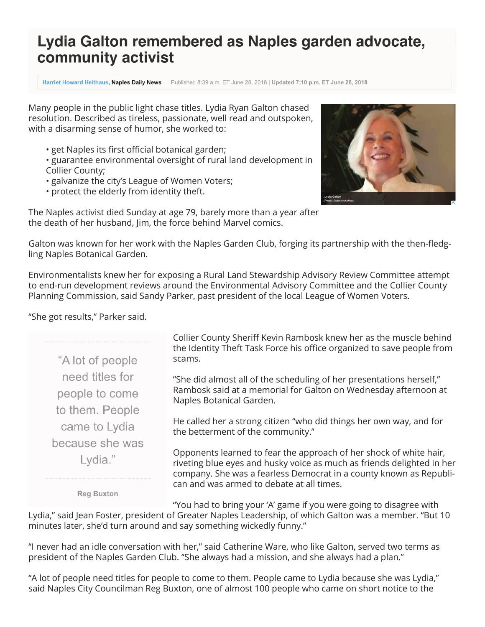## Lydia Galton remembered as Naples garden advocate, community activist

**Harriet Howard Heithaus, Naples Daily News** Published 8:39 a.m. ET June 28, 2018 | Updated 7:10 p.m. ET June 28, 2018

Many people in the public light chase titles. Lydia Ryan Galton chased resolution. Described as tireless, passionate, well read and outspoken, with a disarming sense of humor, she worked to:

• get Naples its first official botanical garden;

• guarantee environmental oversight of rural land development in Collier County;

- galvanize the city's League of Women Voters;
- protect the elderly from identity theft.



The Naples activist died Sunday at age 79, barely more than a year after the death of her husband, Jim, the force behind Marvel comics.

Galton was known for her work with the Naples Garden Club, forging its partnership with the then-fledgling Naples Botanical Garden.

Environmentalists knew her for exposing a Rural Land Stewardship Advisory Review Committee attempt to end-run development reviews around the Environmental Advisory Committee and the Collier County Planning Commission, said Sandy Parker, past president of the local League of Women Voters.

## "She got results," Parker said.

"A lot of people need titles for people to come to them. People came to Lydia because she was Lydia."

Collier County Sheriff Kevin Rambosk knew her as the muscle behind the Identity Theft Task Force his office organized to save people from scams.

"She did almost all of the scheduling of her presentations herself," Rambosk said at a memorial for Galton on Wednesday afternoon at Naples Botanical Garden.

He called her a strong citizen "who did things her own way, and for the betterment of the community."

Opponents learned to fear the approach of her shock of white hair, riveting blue eyes and husky voice as much as friends delighted in her company. She was a fearless Democrat in a county known as Republican and was armed to debate at all times.

**Reg Buxton** 

"You had to bring your 'A' game if you were going to disagree with

Lydia," said Jean Foster, president of Greater Naples Leadership, of which Galton was a member. "But 10 minutes later, she'd turn around and say something wickedly funny."

"I never had an idle conversation with her," said Catherine Ware, who like Galton, served two terms as president of the Naples Garden Club. "She always had a mission, and she always had a plan."

"A lot of people need titles for people to come to them. People came to Lydia because she was Lydia," said Naples City Councilman Reg Buxton, one of almost 100 people who came on short notice to the